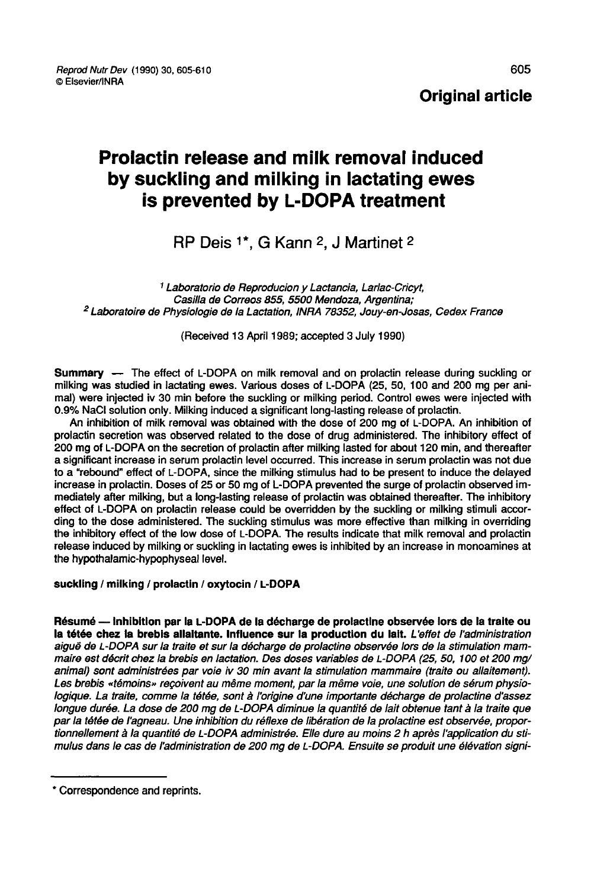# Prolactin release and milk removal induced by suckling and milking in lactating ewes is prevented by L-DOPA treatment **Example 20 Alling and milking in lactating<br>
revented by L-DOPA treatm**<br>
RP Deis <sup>1\*</sup>, G Kann <sup>2</sup>, J Martinet <sup>2</sup>

<sup>1</sup> Laboratorio de Reproducion y Lactancia, Larlac-Cricyt, <sup>2</sup> Laboratoire de Physiologie de la Lactation, INRA 78352, Jouy-en-Josas, Cedex France

(Received 13 April 1989; accepted 3 July 1990)

Summary ― The effect of L-DOPA on milk removal and on prolactin release during suckling or milking was studied in lactating ewes. Various doses of L-DOPA (25, 50, 100 and 200 mg per animal) were injected iv 30 min before the suckling or milking period. Control ewes were injected with 0.9% NaCl solution only. Milking induced a significant long-lasting release of prolactin.

An inhibition of milk removal was obtained with the dose of 200 mg of L-DOPA. An inhibition of prolactin secretion was observed related to the dose of drug administered. The inhibitory effect of 200 mg of L-DOPA on the secretion of prolactin after milking lasted for about 120 minimization of milk removal was obtained with the dose of 200 mg of L-DOPA. An inhibition of prolactin secretion was observed related to th a significant increase in serum prolactin level occurred. This increase in serum prolactin was not due to a "rebound" effect of L-DOPA, since the milking stimulus had to be present to induce the delayed increase in prolactin. Doses of 25 or 50 mg of L-DOPA prevented the surge of prolactin observed immediately after mitking, but a long-lasting release of prolactin was obtained thereafter. The inhibitory effect of L-DOPA on prolactin release could be overridden by the suckling or milking stimuli according to the dose administered. The suckling stimulus was more effective than milking in overriding<br>the inhibitory effect of the low dose of L-DOPA. The results indicate that milk removal and prolactin nicrease in protactin. Doses of 25 or 50 mg or L-DOPA prevented the strige of protactin observed im-<br>mediately after milking, but a long-lasting release of prolactin was obtained thereafter. The inhibitory<br>effect of L-DOPA the hypothalamic-hypophyseal level.

suckling / milking / prolactin / oxytocin / L-DOPA<br>Résumé — Inhibition par la L-DOPA de la décharge de prolactine observée lors de la traite ou la tétée chez la brebis allaitante. Influence sur la production du lait. L'effet de l'administration aiguë de L-DOPA sur la traite et sur la décharge de prolactine observée lors de la stimulation mammaire est décrit chez la brebis en lactation. Des doses variables de L-DOPA (25, 50, 100 et 200 mg/ animal) sont administrées par voie iv 30 min avant la stimulation mammaire (traite ou allaitement). Les brebis «témoins» reçoivent au même moment, par la même voie, une solution de sérum physiologique. La traite, comme la tétée, sont à l'origine d'une importante décharge de prolactine d'assez longue durée. La dose de 200 mg de L-DOPA diminue la quantité de lait obtenue tant à la traite que par la tétée de l'agneau. Une inhibition du réflexe de libération de la prolactine est observée, proportionnellement à la quantité de L-DOPA administrée. Elle dure au moins 2 h après l'application du stimulus dans le cas de l'administration de 200 mg de L-DOPA. Ensuite se produit une élévation signi-

<sup>\*</sup> Correspondence and reprints.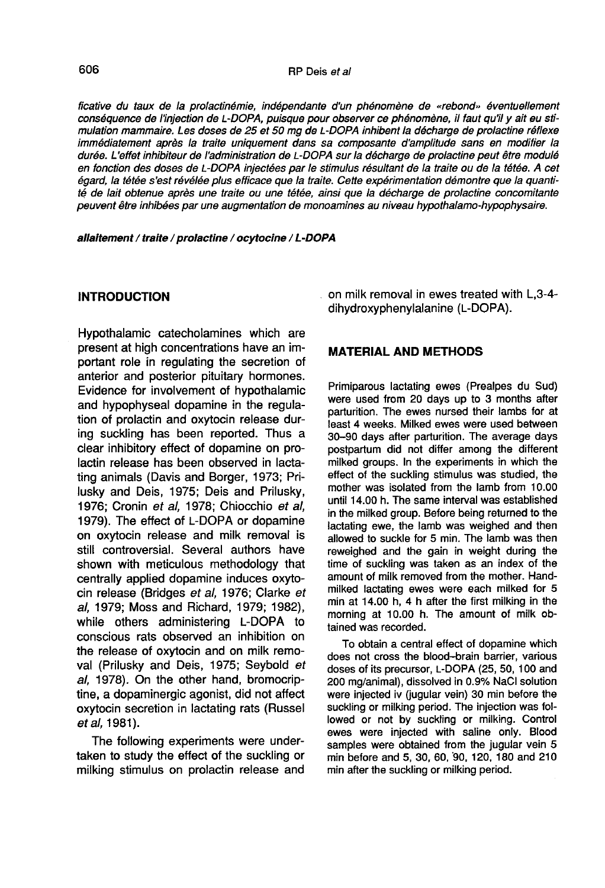ficative du taux de la prolactinémie, indépendante d'un phénomène de «rebond» éventuellement 606<br>ficative du taux de la prolactinémie, indépendante d'un phénomène de «rebond» éventuellement<br>conséquence de l'injection de L-DOPA, puisque pour observer ce phénomène, il faut qu'il y ait eu sti-<br>mulation mammaire. Les mulation mammaire. Les doses de 25 et 50 mg de L-DOPA inhibent la décharge de prolactine réflexe immédiatement après la traite uniquement dans sa composante d'amplitude sans en modifier la durée. L effet inhibiteur de l'administration de L-DOPA sur la décharge de prolactine peut être modulé en fonction des doses de L-DOPA injectées par le stimulus résultant de la traite ou de la tétée. A cet égard, la tétée s'est révélée plus efficace que la traite. Cette expérimentation démontre que la quantité de lait obtenue après une traite ou une tétée, ainsi que la décharge de prolactine concomitante peuvent être inhibées par une augmentation de monoamines au niveau hypothalamo-hypophysaire.

allaitement / traite / prolactine / ocytocine / L-DOPA

### INTRODUCTION

Hypothalamic catecholamines which are present at high concentrations have an important role in regulating the secretion of anterior and posterior pituitary hormones. Evidence for involvement of hypothalamic and hypophyseal dopamine in the regulation of prolactin and oxytocin release during suckling has been reported. Thus a clear inhibitory effect of dopamine on prolactin release has been observed in lactating animals (Davis and Borger, 1973; Prilusky and Deis, 1975; Deis and Prilusky, 1976; Cronin et al, 1978; Chiocchio et al, 1979). The effect of L-DOPA or dopamine on oxytocin release and milk removal is still controversial. Several authors have shown with meticulous methodology that centrally applied dopamine induces oxytocin release (Bridges et al, 1976; Clarke et al, 1979; Moss and Richard, 1979; 1982), while others administering L-DOPA to conscious rats observed an inhibition on the release of oxytocin and on milk removal (Prilusky and Deis, 1975; Seybold et al, 1978). On the other hand, bromocriptine, a dopaminergic agonist, did not affect oxytocin secretion in lactating rats (Russel et al. 1981).

The following experiments were undertaken to study the effect of the suckling or milking stimulus on prolactin release and on milk removal in ewes treated with L,3-4 dihydroxyphenylalanine (L-DOPA).

### MATERIAL AND METHODS

Primiparous lactating ewes (Prealpes du Sud) were used from 20 days up to 3 months after parturition. The ewes nursed their lambs for at least 4 weeks. Milked ewes were used between 30-90 days after parturition. The average days postpartum did not differ among the different milked groups. In the experiments in which the effect of the suckling stimulus was studied, the mother was isolated from the lamb from 10.00 until 14.00 h. The same interval was established in the milked group. Before being returned to the lactating ewe, the lamb was weighed and then allowed to suckle for 5 min. The lamb was then reweighed and the gain in weight during the time of suckling was taken as an index of the amount of milk removed from the mother. Handmilked lactating ewes were each milked for 5 min at 14.00 h, 4 h after the first milking in the morning at 10.00 h. The amount of milk obtained was recorded.

To obtain a central effect of dopamine which does not cross the blood-brain barrier, various doses of its precursor, L-DOPA (25, 50, 100 and 200 mg/animal), dissolved in 0.9% NaCi solution were injected iv (jugular vein) 30 min before the suckling or milking period. The injection was followed or not by suckling or milking. Control ewes were injected with saline only. Blood samples were obtained from the jugular vein 5 min before and 5, 30, 60, 90, 120, 180 and 210 min after the suckling or milking period.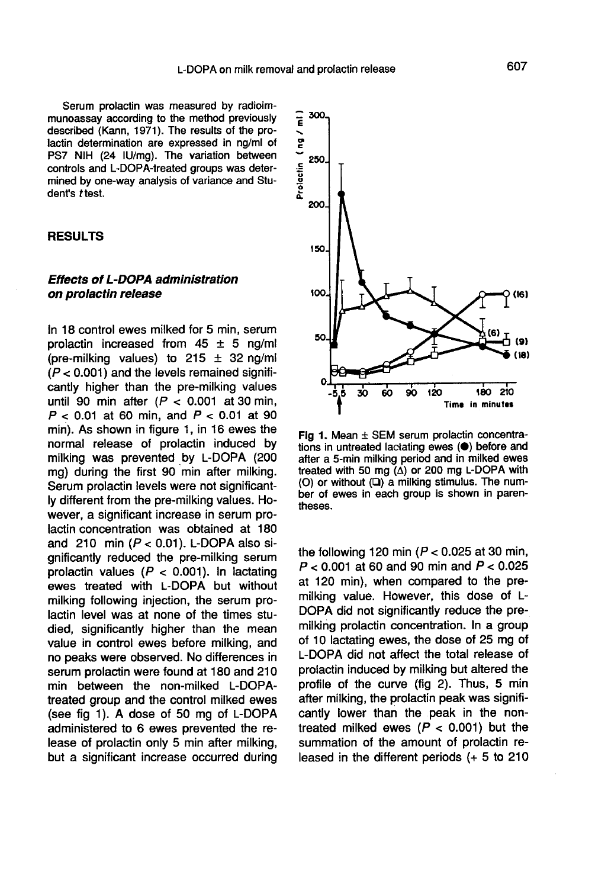Serum prolactin was measured by radioimmunoassay according to the method previously described (Kann, 1971). The results of the prolactin determination are expressed in ng/ml of PS7 NIH (24 IU/mg). The variation between controls and L-DOPA-treated groups was determined by one-way analysis of variance and Student's ttest.

#### RESULTS

### Effects of L-DOPA administration on prolactin release

In 18 control ewes milked for 5 min, serum prolactin increased from  $45 \pm 5$  ng/ml (pre-milking values) to  $215 \pm 32$  ng/ml  $(P < 0.001)$  and the levels remained significantly higher than the pre-milking values until 90 min after  $(P < 0.001$  at 30 min,  $P < 0.01$  at 60 min, and  $P < 0.01$  at 90 min). As shown in figure 1, in 16 ewes the normal release of prolactin induced by milking was prevented by L-DOPA (200 mg) during the first 90 min after milking. Serum prolactin levels were not significantly different from the pre-milking values. However, a significant increase in serum prolactin concentration was obtained at 180 and 210 min  $(P < 0.01)$ . L-DOPA also significantly reduced the pre-milking serum prolactin values ( $P < 0.001$ ). In lactating ewes treated with L-DOPA but without milking following injection, the serum prolactin level was at none of the times studied, significantly higher than the mean value in control ewes before milking, and no peaks were observed. No differences in serum prolactin were found at 180 and 210 min between the non-milked L-DOPAtreated group and the control milked ewes (see fig 1). A dose of 50 mg of L-DOPA administered to 6 ewes prevented the release of prolactin only 5 min after milking, but a significant increase occurred during



Fig 1. Mean ± SEM serum prolactin concentrations in untreated lactating ewes (.) before and after a 5-min milking period and in milked ewes treated with 50 mg  $(\Delta)$  or 200 mg L-DOPA with (O) or without (Q) a milking stimulus. The number of ewes in each group is shown in parentheses.

the following 120 min ( $P < 0.025$  at 30 min,  $P < 0.001$  at 60 and 90 min and  $P < 0.025$ at 120 min), when compared to the premilking value. However, this dose of L-<br>DOPA did not significantly reduce the premilking prolactin concentration. In a group of 10 lactating ewes, the dose of 25 mg of L-DOPA did not affect the total release of prolactin induced by milking but altered the profile of the curve (fig 2). Thus, 5 min after milking, the prolactin peak was significantly lower than the peak in the nontreated milked ewes  $(P < 0.001)$  but the summation of the amount of prolactin released in the different periods (+ 5 to 210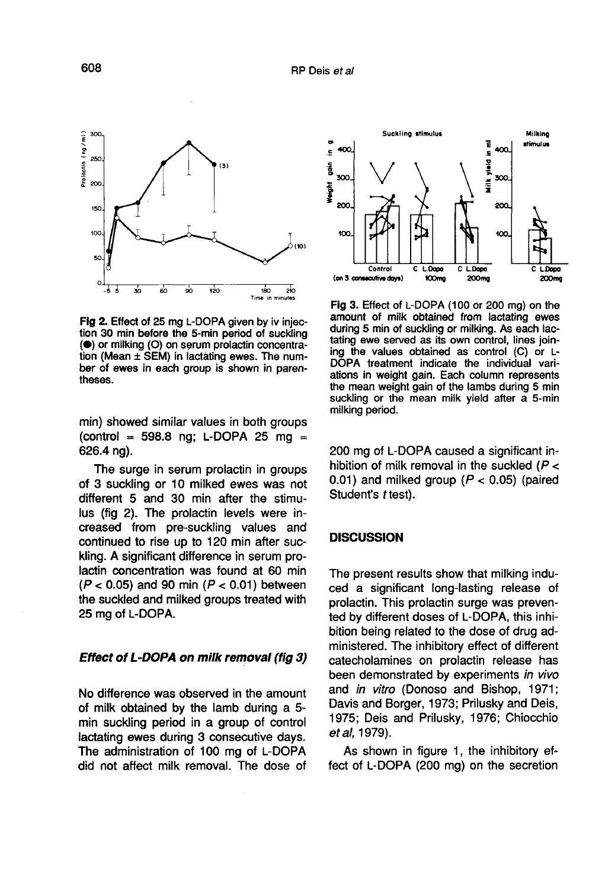

Fig 2. Effect of 25 mg L-DOPA given by iv injection 30 min before the 5-min period of suckling (<sup>•</sup>) or milking (O) on serum prolactin concentration (Mean ± SEM) in lactating ewes. The number of ewes in each group is shown in parentheses.

min) showed similar values in both groups (control = 598.8 ng; L-DOPA 25 mg = 626.4 ng).

The surge in serum prolactin in groups of 3 suckling or 10 milked ewes was not different 5 and 30 min after the stimulus (fig 2). The prolactin levels were increased from pre-suckling values and continued to rise up to 120 min after suckling. A significant difference in serum prolactin concentration was found at 60 min  $(P < 0.05)$  and 90 min  $(P < 0.01)$  between the suckled and milked groups treated with 25 mg of L-DOPA.

# Effect of L-DOPA on milk removal (fig 3)

No difference was observed in the amount of milk obtained by the lamb during a 5 min suckling period in a group of control lactating ewes during 3 consecutive days. The administration of 100 mg of L-DOPA did not affect milk removal. The dose of



Fig 3. Effect of L-DOPA (100 or 200 mg) on the amount of milk obtained from lactating ewes during 5 min of suckling or milking. As each lactating ewe served as its own control, lines joining the values obtained as control (C) or L-DOPA treatment indicate the individual variations in weight gain. Each column represents the mean weight gain of the lambs during 5 min suckling or the mean milk yield after a 5-min milking period.

200 mg of L-DOPA caused a significant inhibition of milk removal in the suckled  $(P <$ 0.01) and milked group ( $P < 0.05$ ) (paired Student's t test).

#### **DISCUSSION**

The present results show that milking induced a significant long-lasting release of prolactin. This prolactin surge was prevented by different doses of L-DOPA, this inhibition being related to the dose of drug administered. The inhibitory effect of different catecholamines on prolactin release has been demonstrated by experiments in vivo and in vitro (Donoso and Bishop, 1971; Davis and Borger, 1973; Prilusky and Deis, 1975; Deis and Prilusky, 1976; Chiocchio et al, 1979).

As shown in figure 1, the inhibitory effect of L-DOPA (200 mg) on the secretion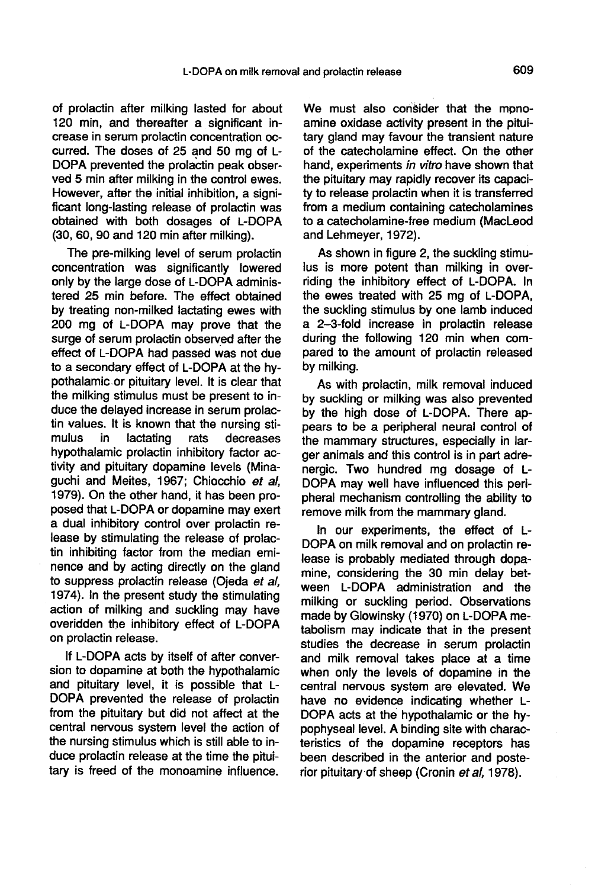of prolactin after milking lasted for about 120 min, and thereafter a significant increase in serum prolactin concentration occurred. The doses of 25 and 50 mg of L-DOPA prevented the prolactin peak observed 5 min after milking in the control ewes. However, after the initial inhibition, a significant long-lasting release of prolactin was obtained with both dosages of L-DOPA (30, 60, 90 and 120 min after milking).

The pre-milking level of serum prolactin concentration was significantly lowered only by the large dose of L-DOPA administered 25 min before. The effect obtained by treating non-milked lactating ewes with 200 mg of L-DOPA may prove that the surge of serum prolactin observed after the effect of L-DOPA had passed was not due to a secondary effect of L-DOPA at the hypothalamic.or pituitary level. It is clear that the milking stimulus must be present to induce the delayed increase in serum prolactin values. It is known that the nursing sti-<br>mulus in lactating rats decreases decreases hypothalamic prolactin inhibitory factor activity and pituitary dopamine levels (Minaguchi and Meites, 1967; Chiocchio et al, 1979). On the other hand, it has been proposed that L-DOPA or dopamine may exert a dual inhibitory control over prolactin release by stimulating the release of prolactin inhibiting factor from the median eminence and by acting directly on the gland to suppress prolactin release (Ojeda et al, 1974). In the present study the stimulating action of milking and suckling may have overidden the inhibitory effect of L-DOPA on prolactin release.

If L-DOPA acts by itself of after conversion to dopamine at both the hypothalamic and pituitary level, it is possible that L-DOPA prevented the release of prolactin from the pituitary but did not affect at the central nervous system level the action of the nursing stimulus which is still able to induce prolactin release at the time the pituitary is freed of the monoamine influence.

We must also consider that the monoamine oxidase activity present in the pituitary gland may favour the transient nature of the catecholamine effect. On the other hand, experiments in vitro have shown that the pituitary may rapidly recover its capacity to release prolactin when it is transferred from a medium containing catecholamines to a catecholamine-free medium (MacLeod and Lehmeyer, 1972).

As shown in figure 2, the suckling stimulus is more potent than milking in overriding the inhibitory effect of L-DOPA. In the ewes treated with 25 mg of L-DOPA, the suckling stimulus by one lamb induced a 2-3-fold increase in prolactin release during the following 120 min when compared to the amount of prolactin released by milking.

As with prolactin, milk removal induced by suckling or milking was also prevented by the high dose of L-DOPA. There appears to be a peripheral neural control of the mammary structures, especially in larger animals and this control is in part adrenergic. Two hundred mg dosage of L-DOPA may well have influenced this peripheral mechanism controlling the ability to remove milk from the mammary gland.

In our experiments, the effect of L-DOPA on milk removal and on prolactin release is probably mediated through dopamine, considering the 30 min delay between L-DOPA administration and the milking or suckling period. Observations made by Glowinsky (1970) on L-DOPA metabolism may indicate that in the present studies the decrease in serum prolactin and milk removal takes place at a time when only the levels of dopamine in the central nervous system are elevated. We have no evidence indicating whether L-DOPA acts at the hypothalamic or the hypophyseal level. A binding site with characteristics of the dopamine receptors has been described in the anterior and posterior pituitary-of sheep (Cronin et al, 1978).